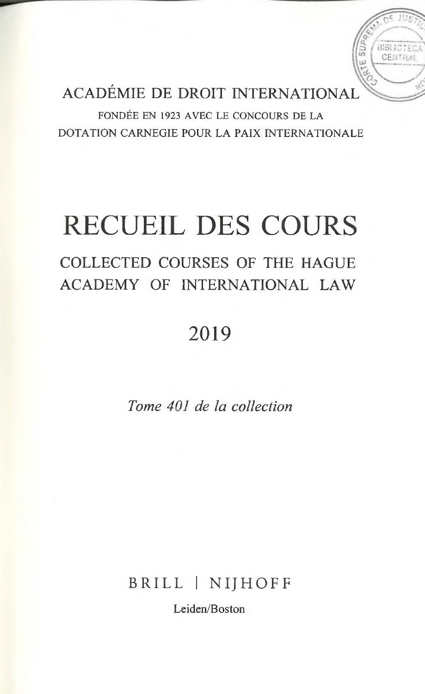ACADÉMIE DE DROIT INTERNATIONAL

IE SUF

CENTRA

FONDÉE EN 1923 AVEC LE CONCOURS DE LA DOTATION CARNEGIE POUR LA PAIX INTERNATIONALE

# RECUEIL DES COURS

### COLLECTED COURSES OF THE HAGUE ACADEMY OF INTERNATIONAL LAW

## 2019

*Tome 401 de la collection*

BRILL | NIJHOFF

Leiden/Boston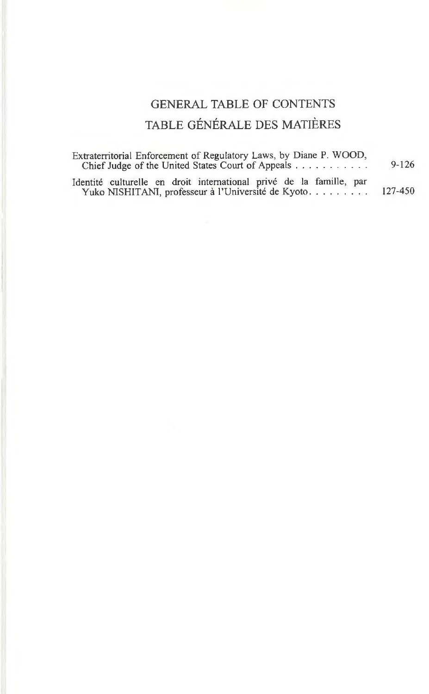### GENERAL TABLE OF CONTENTS TABLE GÉNÉRALE DES MATIÈRES

| Extraterritorial Enforcement of Regulatory Laws, by Diane P. WOOD,<br>Chief Judge of the United States Court of Appeals   | $9 - 126$ |
|---------------------------------------------------------------------------------------------------------------------------|-----------|
| Identité culturelle en droit international privé de la famille, par<br>Yuko NISHITANI, professeur à l'Université de Kyoto | 127-450   |